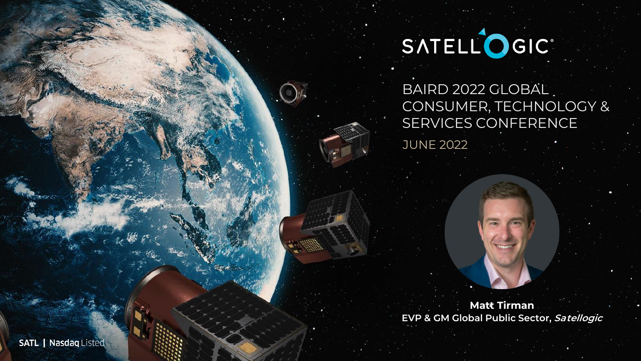# SATELLOGIC'

BAIRD 2022 GLOBAL. CONSUMER, TECHNOLOGY & SERVICES CONFERENCE

JUNE 2022

**Matt Tirman EVP & GM Global Public Sector, Satellogic**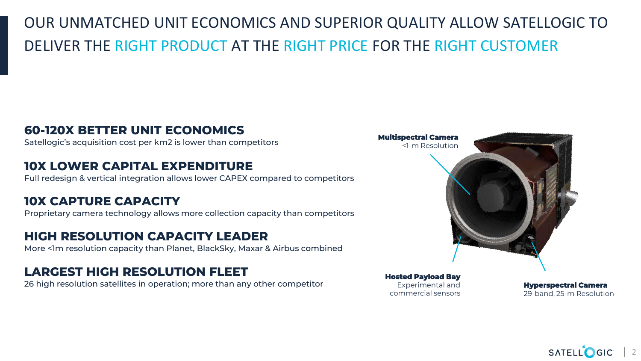# OUR UNMATCHED UNIT ECONOMICS AND SUPERIOR QUALITY ALLOW SATELLOGIC TO DELIVER THE RIGHT PRODUCT AT THE RIGHT PRICE FOR THE RIGHT CUSTOMER

#### **60-120X BETTER UNIT ECONOMICS**

Satellogic's acquisition cost per km2 is lower than competitors

#### **10X LOWER CAPITAL EXPENDITURE**

Full redesign & vertical integration allows lower CAPEX compared to competitors

#### **10X CAPTURE CAPACITY**

Proprietary camera technology allows more collection capacity than competitors

#### **HIGH RESOLUTION CAPACITY LEADER**

More <1m resolution capacity than Planet, BlackSky, Maxar & Airbus combined

#### **LARGEST HIGH RESOLUTION FLEET**

26 high resolution satellites in operation; more than any other competitor

**Hosted Payload Bay** Experimental and commercial sensors

**Multispectral Camera**

<1-m Resolution

**Hyperspectral Camera** 29-band, 25-m Resolution

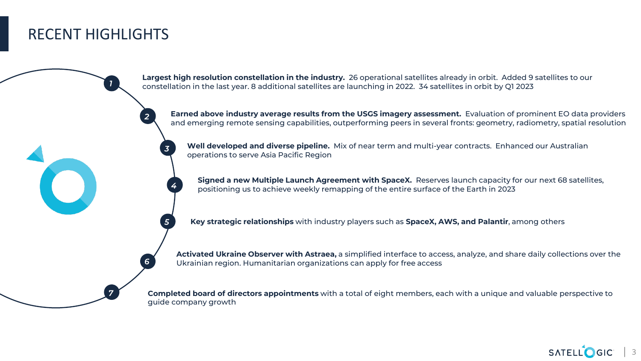### RECENT HIGHLIGHTS

*1*

*7*

*2*

*3*

*4*

*5*

*6*

**Largest high resolution constellation in the industry.** 26 operational satellites already in orbit. Added 9 satellites to our constellation in the last year. 8 additional satellites are launching in 2022. 34 satellites in orbit by Q1 2023

**Earned above industry average results from the USGS imagery assessment.** Evaluation of prominent EO data providers and emerging remote sensing capabilities, outperforming peers in several fronts: geometry, radiometry, spatial resolution

**Well developed and diverse pipeline.** Mix of near term and multi-year contracts. Enhanced our Australian operations to serve Asia Pacific Region

**Signed a new Multiple Launch Agreement with SpaceX.** Reserves launch capacity for our next 68 satellites, positioning us to achieve weekly remapping of the entire surface of the Earth in 2023

**Key strategic relationships** with industry players such as **SpaceX, AWS, and Palantir**, among others

**Activated Ukraine Observer with Astraea,** a simplified interface to access, analyze, and share daily collections over the Ukrainian region. Humanitarian organizations can apply for free access

**Completed board of directors appointments** with a total of eight members, each with a unique and valuable perspective to guide company growth